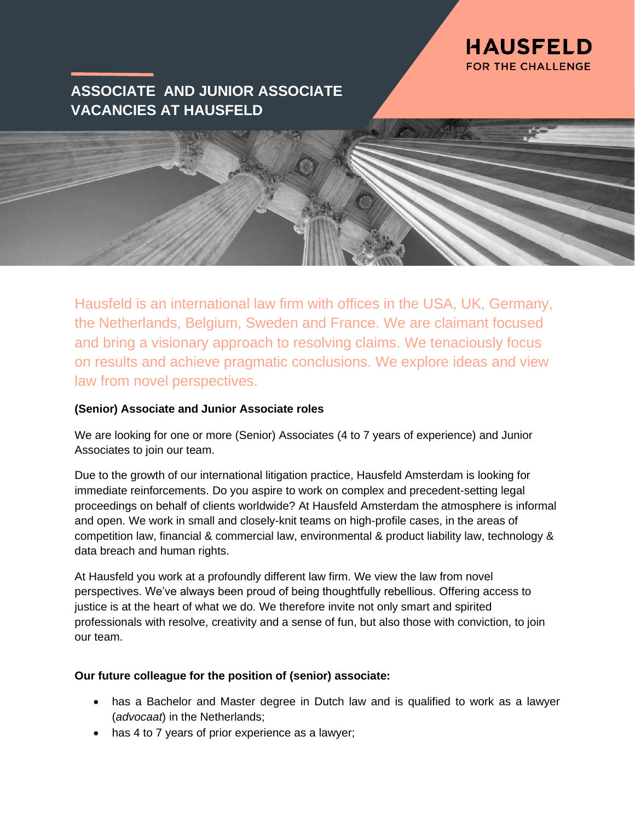

# **ASSOCIATE AND JUNIOR ASSOCIATE VACANCIES AT HAUSFELD**

Hausfeld is an international law firm with offices in the USA, UK, Germany, the Netherlands, Belgium, Sweden and France. We are claimant focused and bring a visionary approach to resolving claims. We tenaciously focus on results and achieve pragmatic conclusions. We explore ideas and view law from novel perspectives.

# **(Senior) Associate and Junior Associate roles**

We are looking for one or more (Senior) Associates (4 to 7 years of experience) and Junior Associates to join our team.

Due to the growth of our international litigation practice, Hausfeld Amsterdam is looking for immediate reinforcements. Do you aspire to work on complex and precedent-setting legal proceedings on behalf of clients worldwide? At Hausfeld Amsterdam the atmosphere is informal and open. We work in small and closely-knit teams on high-profile cases, in the areas of competition law, financial & commercial law, environmental & product liability law, technology & data breach and human rights.

At Hausfeld you work at a profoundly different law firm. We view the law from novel perspectives. We've always been proud of being thoughtfully rebellious. Offering access to justice is at the heart of what we do. We therefore invite not only smart and spirited professionals with resolve, creativity and a sense of fun, but also those with conviction, to join our team.

## **Our future colleague for the position of (senior) associate:**

- has a Bachelor and Master degree in Dutch law and is qualified to work as a lawyer (*advocaat*) in the Netherlands;
- has 4 to 7 years of prior experience as a lawyer;